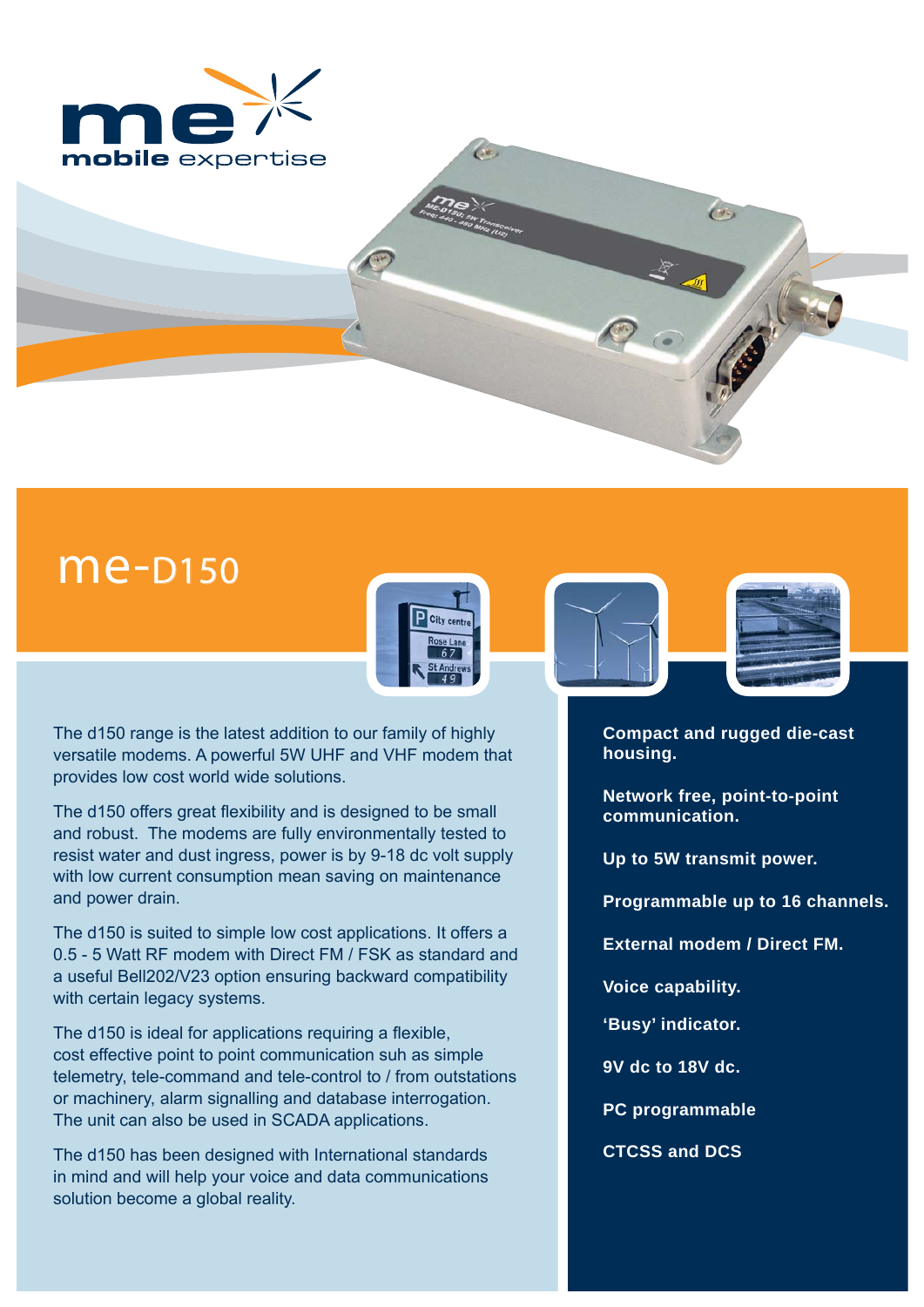

# **me-**D150



The d150 range is the latest addition to our family of highly versatile modems. A powerful 5W UHF and VHF modem that provides low cost world wide solutions.

The d150 offers great flexibility and is designed to be small and robust. The modems are fully environmentally tested to resist water and dust ingress, power is by 9-18 dc volt supply with low current consumption mean saving on maintenance and power drain.

The d150 is suited to simple low cost applications. It offers a 0.5 - 5 Watt RF modem with Direct FM / FSK as standard and a useful Bell202/V23 option ensuring backward compatibility with certain legacy systems.

The d150 is ideal for applications requiring a flexible, cost effective point to point communication suh as simple telemetry, tele-command and tele-control to / from outstations or machinery, alarm signalling and database interrogation. The unit can also be used in SCADA applications.

The d150 has been designed with International standards in mind and will help your voice and data communications solution become a global reality.





**Compact and rugged die-cast housing.**

64.

**Network free, point-to-point communication.**

**Up to 5W transmit power.**

**Programmable up to 16 channels.** 

**External modem / Direct FM.** 

**Voice capability.**

**'Busy' indicator.**

**9V dc to 18V dc.** 

**PC programmable**

**CTCSS and DCS**